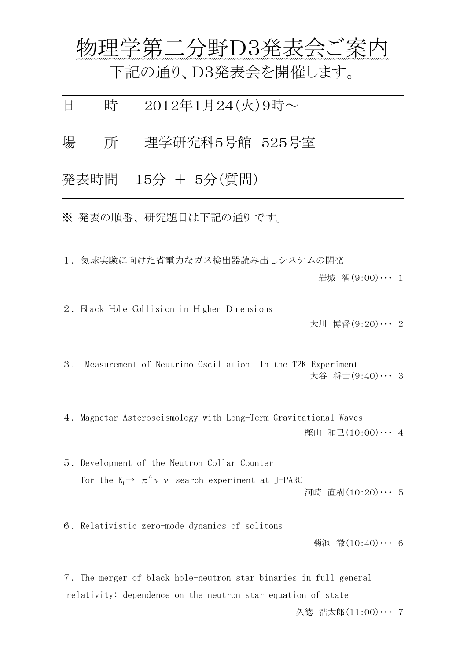物理学第二分野D3発表会ご案内

下記の通り、D3発表会を開催します。

日 時 2012年1月24(火)9時~

場 所 理学研究科5号館 525号室

発表時間 15分 + 5分(質問)

 $\overline{a}$ 

 $\overline{a}$ 

※ 発表の順番、 研究題目は下記の通り です。

1.気球実験に向けた省電力なガス検出器読み出しシステムの開発

岩城 智 $(9:00)$ … 1

2. Black Hole Collision in Higher Dimensions

大川 博督(9:20)・・・ 2

3. Measurement of Neutrino Oscillation In the T2K Experiment 大谷 将士(9:40)・・・ 3

4. Magnetar Asteroseismology with Long-Term Gravitational Waves 樫山 和己(10:00)… 4

5.Development of the Neutron Collar Counter for the  $K_L \rightarrow \pi^0 \nu \nu$  search experiment at J-PARC 河崎 直樹(10:20)・・・ 5

6.Relativistic zero-mode dynamics of solitons

菊池 徹(10:40)・・・ 6

7.The merger of black hole-neutron star binaries in full general relativity: dependence on the neutron star equation of state 久徳 浩太郎 (11:00) … 7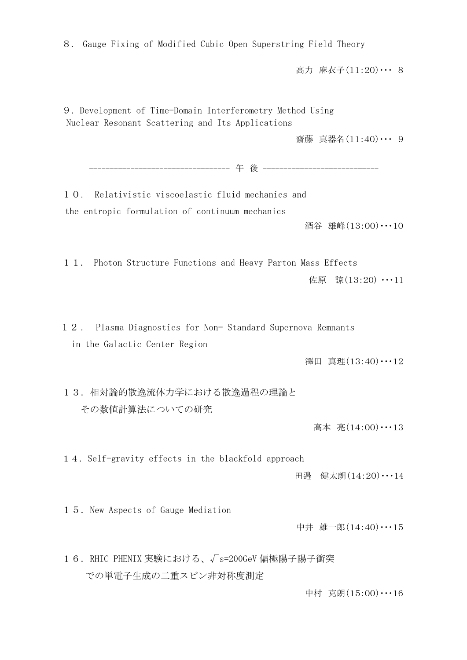8. Gauge Fixing of Modified Cubic Open Superstring Field Theory

高力 麻衣子(11:20)・・・ 8

9. Development of Time-Domain Interferometry Method Using Nuclear Resonant Scattering and Its Applications

齋藤 真器名(11:40)・・・ 9

---------------------------------- 午 後 ----------------------------

10. Relativistic viscoelastic fluid mechanics and the entropic formulation of continuum mechanics

酒谷 雄峰(13:00)・・・10

11. Photon Structure Functions and Heavy Parton Mass Effects

佐原 諒(13:20) ・・・11

1 2 . Plasma Diagnostics for Non– Standard Supernova Remnants in the Galactic Center Region

澤田 真理(13:40) …12

13. 相対論的散逸流体力学における散逸過程の理論と その数値計算法についての研究

高本 亮(14:00)…13

14.Self-gravity effects in the blackfold approach

田邉 健太朗(14:20)・・・14

15.New Aspects of Gauge Mediation

中井 雄一郎(14:40)・・・15

16.RHIC PHENIX 実験における、√s=200GeV 偏極陽子陽子衝突 での単電子生成の二重スピン非対称度測定

中村 克朗(15:00)・・・16